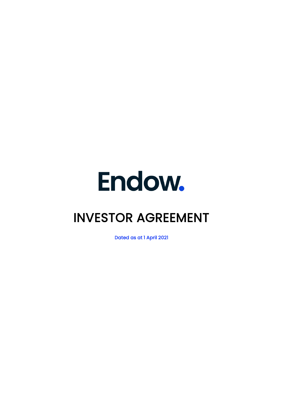

# INVESTOR AGREEMENT

Dated as at 1 April 2021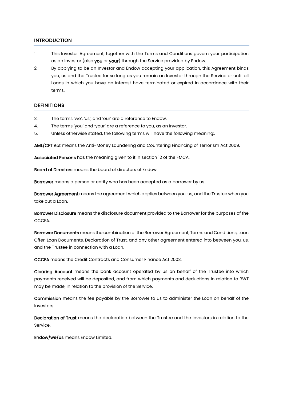## INTRODUCTION

- 1. This Investor Agreement, together with the Terms and Conditions govern your participation as an Investor (also you or your) through the Service provided by Endow.
- 2. By applying to be an Investor and Endow accepting your application, this Agreement binds you, us and the Trustee for so long as you remain an Investor through the Service or until all Loans in which you have an interest have terminated or expired in accordance with their terms.

## **DEFINITIONS**

- 3. The terms 'we', 'us', and 'our' are a reference to Endow.
- 4. The terms 'you' and 'your' are a reference to you, as an Investor.
- 5. Unless otherwise stated, the following terms will have the following meaning:.

AML/CFT Act means the Anti-Money Laundering and Countering Financing of Terrorism Act 2009.

Associated Persons has the meaning given to it in section 12 of the FMCA.

Board of Directors means the board of directors of Endow.

Borrower means a person or entity who has been accepted as a borrower by us.

Borrower Agreement means the agreement which applies between you, us, and the Trustee when you take out a Loan.

Borrower Disclosure means the disclosure document provided to the Borrower for the purposes of the CCCFA.

Borrower Documents means the combination of the Borrower Agreement, Terms and Conditions, Loan Offer, Loan Documents, Declaration of Trust, and any other agreement entered into between you, us, and the Trustee in connection with a Loan.

CCCFA means the Credit Contracts and Consumer Finance Act 2003.

Clearing Account means the bank account operated by us on behalf of the Trustee into which payments received will be deposited, and from which payments and deductions in relation to RWT may be made, in relation to the provision of the Service.

Commission means the fee payable by the Borrower to us to administer the Loan on behalf of the Investors.

Declaration of Trust means the declaration between the Trustee and the Investors in relation to the Service.

Endow/we/us means Endow Limited.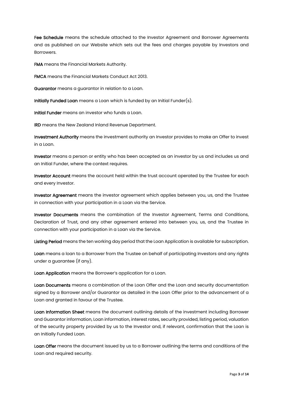Fee Schedule means the schedule attached to the Investor Agreement and Borrower Agreements and as published on our Website which sets out the fees and charges payable by Investors and **Borrowers** 

FMA means the Financial Markets Authority.

FMCA means the Financial Markets Conduct Act 2013.

Guarantor means a guarantor in relation to a Loan.

Initially Funded Loan means a Loan which is funded by an Initial Funder(s).

Initial Funder means an investor who funds a Loan.

IRD means the New Zealand Inland Revenue Department.

Investment Authority means the investment authority an Investor provides to make an Offer to invest in a Loan.

Investor means a person or entity who has been accepted as an investor by us and includes us and an Initial Funder, where the context requires.

Investor Account means the account held within the trust account operated by the Trustee for each and every Investor.

Investor Agreement means the investor agreement which applies between you, us, and the Trustee in connection with your participation in a Loan via the Service.

Investor Documents means the combination of the Investor Agreement, Terms and Conditions, Declaration of Trust, and any other agreement entered into between you, us, and the Trustee in connection with your participation in a Loan via the Service.

Listing Period means the ten working day period that the Loan Application is available for subscription.

Loan means a loan to a Borrower from the Trustee on behalf of participating Investors and any rights under a guarantee (if any).

Loan Application means the Borrower's application for a Loan.

Loan Documents means a combination of the Loan Offer and the Loan and security documentation signed by a Borrower and/or Guarantor as detailed in the Loan Offer prior to the advancement of a Loan and granted in favour of the Trustee.

Loan Information Sheet means the document outlining details of the investment including Borrower and Guarantor information, Loan information, interest rates, security provided, listing period, valuation of the security property provided by us to the Investor and, if relevant, confirmation that the Loan is an Initially Funded Loan.

Loan Offer means the document issued by us to a Borrower outlining the terms and conditions of the Loan and required security.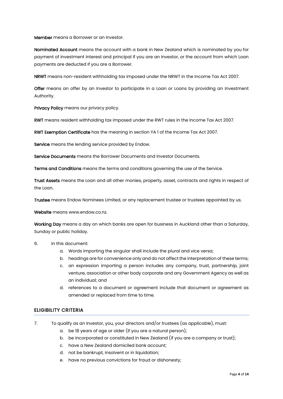Member means a Borrower or an Investor.

Nominated Account means the account with a bank in New Zealand which is nominated by you for payment of investment interest and principal if you are an Investor, or the account from which Loan payments are deducted if you are a Borrower.

NRWT means non-resident withholding tax imposed under the NRWT in the Income Tax Act 2007.

Offer means an offer by an Investor to participate in a Loan or Loans by providing an Investment Authority.

Privacy Policy means our privacy policy.

RWT means resident withholding tax imposed under the RWT rules in the Income Tax Act 2007.

RWT Exemption Certificate has the meaning in section YA 1 of the Income Tax Act 2007.

Service means the lending service provided by Endow.

Service Documents means the Borrower Documents and Investor Documents.

Terms and Conditions means the terms and conditions governing the use of the Service.

Trust Assets means the Loan and all other monies, property, asset, contracts and rights in respect of the Loan.

Trustee means Endow Nominees Limited, or any replacement trustee or trustees appointed by us.

Website means www.endow.co.nz.

Working Day means a day on which banks are open for business in Auckland other than a Saturday, Sunday or public holiday.

- 6. In this document:
	- a. Words importing the singular shall include the plural and vice versa;
	- b. headings are for convenience only and do not affect the interpretation of these terms;
	- c. an expression importing a person includes any company, trust, partnership, joint venture, association or other body corporate and any Government Agency as well as an individual; and
	- d. references to a document or agreement include that document or agreement as amended or replaced from time to time.

## ELIGIBILITY CRITERIA

- 7. To qualify as an Investor, you, your directors and/or trustees (as applicable), must:
	- a. be 18 years of age or older (if you are a natural person);
	- b. be incorporated or constituted in New Zealand (if you are a company or trust);
	- c. have a New Zealand domiciled bank account;
	- d. not be bankrupt, insolvent or in liquidation;
	- e. have no previous convictions for fraud or dishonesty;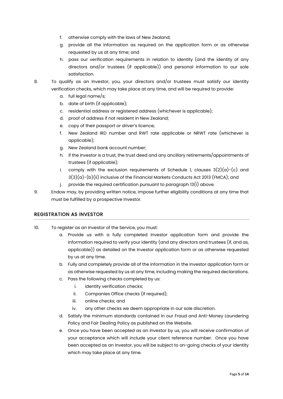- f. otherwise comply with the laws of New Zealand;
- g. provide all the information as required on the application form or as otherwise requested by us at any time; and
- h. pass our verification requirements in relation to identity (and the identity of any directors and/or trustees (if applicable)) and personal information to our sole satisfaction.
- 8. To qualify as an Investor, you, your directors and/or trustees must satisfy our identity verification checks, which may take place at any time, and will be required to provide:
	- a. full legal name/s;
	- b. date of birth (if applicable);
	- c. residential address or registered address (whichever is applicable);
	- d. proof of address if not resident in New Zealand;
	- e. copy of their passport or driver's licence;
	- f. New Zealand IRD number and RWT rate applicable or NRWT rate (whichever is applicable);
	- g. New Zealand bank account number;
	- h. if the Investor is a trust, the trust deed and any ancillary retirements/appointments of trustees (if applicable);
	- i. comply with the exclusion requirements of Schedule 1, clauses  $3(2)(a)-(c)$  and  $3(3)(a)$ - $(b)$ (ii) inclusive of the Financial Markets Conducts Act 2013 (FMCA); and
	- j. provide the required certification pursuant to paragraph 13(i) above.
- 9. Endow may, by providing written notice, impose further eligibility conditions at any time that must be fulfilled by a prospective Investor.

#### REGISTRATION AS INVESTOR

- 10. To register as an Investor of the Service, you must:
	- a. Provide us with a fully completed Investor application form and provide the information required to verify your identity (and any directors and trustees (if, and as, applicable)) as detailed on the Investor application form or as otherwise requested by us at any time.
	- b. Fully and completely provide all of the information in the Investor application form or as otherwise requested by us at any time, including making the required declarations.
	- c. Pass the following checks completed by us:
		- i. **identity verification checks:**
		- ii. Companies Office checks (if required);
		- iii. online checks; and
		- iv. any other checks we deem appropriate in our sole discretion.
	- d. Satisfy the minimum standards contained in our Fraud and Anti-Money Laundering Policy and Fair Dealing Policy as published on the Website.
	- e. Once you have been accepted as an Investor by us, you will receive confirmation of your acceptance which will include your client reference number. Once you have been accepted as an Investor, you will be subject to on-going checks of your identity which may take place at any time.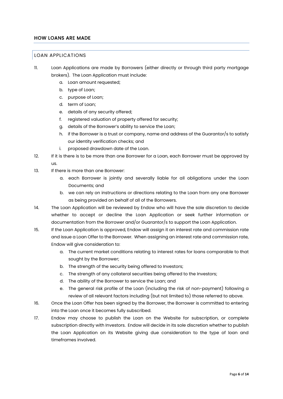## HOW LOANS ARE MADE

#### LOAN APPLICATIONS

- 11. Loan Applications are made by Borrowers (either directly or through third party mortgage brokers). The Loan Application must include:
	- a. Loan amount requested;
	- b. type of Loan;
	- c. purpose of Loan;
	- d. term of Loan;
	- e. details of any security offered;
	- f. registered valuation of property offered for security;
	- g. details of the Borrower's ability to service the Loan;
	- h. if the Borrower is a trust or company, name and address of the Guarantor/s to satisfy our identity verification checks; and
	- i. proposed drawdown date of the Loan.
- 12. If it is there is to be more than one Borrower for a Loan, each Borrower must be approved by us.
- 13. If there is more than one Borrower:
	- a. each Borrower is jointly and severally liable for all obligations under the Loan Documents; and
	- b. we can rely on instructions or directions relating to the Loan from any one Borrower as being provided on behalf of all of the Borrowers.
- 14. The Loan Application will be reviewed by Endow who will have the sole discretion to decide whether to accept or decline the Loan Application or seek further information or documentation from the Borrower and/or Guarantor/s to support the Loan Application.
- 15. If the Loan Application is approved, Endow will assign it an interest rate and commission rate and issue a Loan Offer to the Borrower. When assigning an interest rate and commission rate, Endow will give consideration to:
	- a. The current market conditions relating to interest rates for loans comparable to that sought by the Borrower;
	- b. The strength of the security being offered to Investors;
	- c. The strength of any collateral securities being offered to the Investors;
	- d. The ability of the Borrower to service the Loan; and
	- e. The general risk profile of the Loan (including the risk of non-payment) following a review of all relevant factors including (but not limited to) those referred to above.
- 16. Once the Loan Offer has been signed by the Borrower, the Borrower is committed to entering into the Loan once it becomes fully subscribed.
- 17. Endow may choose to publish the Loan on the Website for subscription, or complete subscription directly with Investors. Endow will decide in its sole discretion whether to publish the Loan Application on its Website giving due consideration to the type of loan and timeframes involved.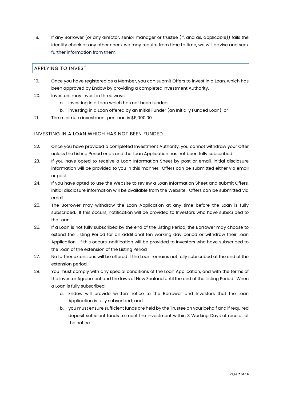18. If any Borrower (or any director, senior manager or trustee (if, and as, applicable)) fails the identity check or any other check we may require from time to time, we will advise and seek further information from them.

## APPLYING TO INVEST

- 19. Once you have registered as a Member, you can submit Offers to invest in a Loan, which has been approved by Endow by providing a completed Investment Authority.
- 20. Investors may invest in three ways:
	- a. investing in a Loan which has not been funded;
	- b. investing in a Loan offered by an Initial Funder (an Initially Funded Loan); or
- 21. The minimum investment per Loan is \$5,000.00.

#### INVESTING IN A LOAN WHICH HAS NOT BEEN FUNDED

- 22. Once you have provided a completed Investment Authority, you cannot withdraw your Offer unless the Listing Period ends and the Loan Application has not been fully subscribed.
- 23. If you have opted to receive a Loan Information Sheet by post or email, initial disclosure information will be provided to you in this manner. Offers can be submitted either via email or post.
- 24. If you have opted to use the Website to review a Loan Information Sheet and submit Offers, initial disclosure information will be available from the Website. Offers can be submitted via email.
- 25. The Borrower may withdraw the Loan Application at any time before the Loan is fully subscribed. If this occurs, notification will be provided to Investors who have subscribed to the Loan.
- 26. If a Loan is not fully subscribed by the end of the Listing Period, the Borrower may choose to extend the Listing Period for an additional ten working day period or withdraw their Loan Application. If this occurs, notification will be provided to Investors who have subscribed to the Loan of the extension of the Listing Period
- 27. No further extensions will be offered if the Loan remains not fully subscribed at the end of the extension period.
- 28. You must comply with any special conditions of the Loan Application, and with the terms of the Investor Agreement and the laws of New Zealand until the end of the Listing Period. When a Loan is fully subscribed:
	- a. Endow will provide written notice to the Borrower and Investors that the Loan Application is fully subscribed; and
	- b. you must ensure sufficient funds are held by the Trustee on your behalf and if required deposit sufficient funds to meet the investment within 3 Working Days of receipt of the notice.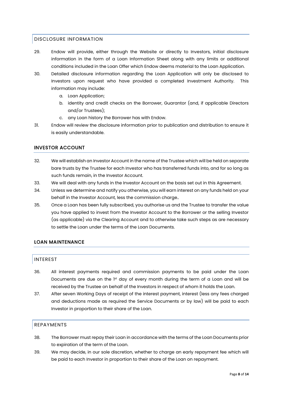## DISCLOSURE INFORMATION

- 29. Endow will provide, either through the Website or directly to Investors, initial disclosure information in the form of a Loan Information Sheet along with any limits or additional conditions included in the Loan Offer which Endow deems material to the Loan Application.
- 30. Detailed disclosure information regarding the Loan Application will only be disclosed to Investors upon request who have provided a completed Investment Authority. information may include:
	- a. Loan Application;
	- b. identity and credit checks on the Borrower, Guarantor (and, if applicable Directors and/or Trustees);
	- c. any Loan history the Borrower has with Endow.
- 31. Endow will review the disclosure information prior to publication and distribution to ensure it is easily understandable.

## INVESTOR ACCOUNT

- 32. We will establish an Investor Account in the name of the Trustee which will be held on separate bare trusts by the Trustee for each Investor who has transferred funds into, and for so long as such funds remain, in the Investor Account.
- 33. We will deal with any funds in the Investor Account on the basis set out in this Agreement.
- 34. Unless we determine and notify you otherwise, you will earn interest on any funds held on your behalf in the Investor Account, less the commission charge..
- 35. Once a Loan has been fully subscribed, you authorise us and the Trustee to transfer the value you have applied to invest from the Investor Account to the Borrower or the selling Investor (as applicable) via the Clearing Account and to otherwise take such steps as are necessary to settle the Loan under the terms of the Loan Documents.

## LOAN MAINTENANCE

#### INTEREST

- 36. All interest payments required and commission payments to be paid under the Loan Documents are due on the  $1<sup>st</sup>$  day of every month during the term of a Loan and will be received by the Trustee on behalf of the Investors in respect of whom it holds the Loan.
- 37. After seven Working Days of receipt of the interest payment, interest (less any fees charged and deductions made as required the Service Documents or by law) will be paid to each Investor in proportion to their share of the Loan.

## REPAYMENTS

- 38. The Borrower must repay their Loan in accordance with the terms of the Loan Documents prior to expiration of the term of the Loan.
- 39. We may decide, in our sole discretion, whether to charge an early repayment fee which will be paid to each Investor in proportion to their share of the Loan on repayment.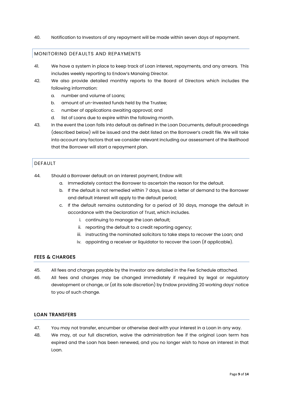40. Notification to Investors of any repayment will be made within seven days of repayment.

## MONITORING DEFAULTS AND REPAYMENTS

- 41. We have a system in place to keep track of Loan interest, repayments, and any arrears. This includes weekly reporting to Endow's Manaing Director.
- 42. We also provide detailed monthly reports to the Board of Directors which includes the following information:
	- a. number and volume of Loans;
	- b. amount of un-invested funds held by the Trustee;
	- c. number of applications awaiting approval; and
	- d. list of Loans due to expire within the following month.
- 43. In the event the Loan falls into default as defined in the Loan Documents, default proceedings (described below) will be issued and the debt listed on the Borrower's credit file. We will take into account any factors that we consider relevant including our assessment of the likelihood that the Borrower will start a repayment plan.

# DEFAULT

- 44. Should a Borrower default on an interest payment, Endow will:
	- a. Immediately contact the Borrower to ascertain the reason for the default.
	- b. If the default is not remedied within 7 days, issue a letter of demand to the Borrower and default interest will apply to the default period;
	- c. If the default remains outstanding for a period of 30 days, manage the default in accordance with the Declaration of Trust, which includes.
		- i. continuing to manage the Loan default;
		- ii. reporting the default to a credit reporting agency;
		- iii. instructing the nominated solicitors to take steps to recover the Loan; and
		- iv. appointing a receiver or liquidator to recover the Loan (if applicable).

## FEES & CHARGES

- 45. All fees and charges payable by the Investor are detailed in the Fee Schedule attached.
- 46. All fees and charges may be changed immediately if required by legal or regulatory development or change, or (at its sole discretion) by Endow providing 20 working days' notice to you of such change.

## LOAN TRANSFERS

- 47. You may not transfer, encumber or otherwise deal with your interest in a Loan in any way.
- 48. We may, at our full discretion, waive the administration fee if the original Loan term has expired and the Loan has been renewed, and you no longer wish to have an interest in that Loan.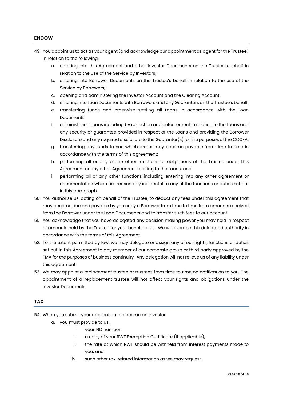## ENDOW

- 49. You appoint us to act as your agent (and acknowledge our appointment as agent for the Trustee) in relation to the following:
	- a. entering into this Agreement and other Investor Documents on the Trustee's behalf in relation to the use of the Service by Investors;
	- b. entering into Borrower Documents on the Trustee's behalf in relation to the use of the Service by Borrowers;
	- c. opening and administering the Investor Account and the Clearing Account;
	- d. entering into Loan Documents with Borrowers and any Guarantors on the Trustee's behalf;
	- e. transferring funds and otherwise settling all Loans in accordance with the Loan Documents;
	- f. administering Loans including by collection and enforcement in relation to the Loans and any security or guarantee provided in respect of the Loans and providing the Borrower Disclosure and any required disclosure to the Guarantor(s) for the purposes of the CCCFA;
	- g. transferring any funds to you which are or may become payable from time to time in accordance with the terms of this agreement;
	- h. performing all or any of the other functions or obligations of the Trustee under this Agreement or any other Agreement relating to the Loans; and
	- i. performing all or any other functions including entering into any other agreement or documentation which are reasonably incidental to any of the functions or duties set out in this paragraph.
- 50. You authorise us, acting on behalf of the Trustee, to deduct any fees under this agreement that may become due and payable by you or by a Borrower from time to time from amounts received from the Borrower under the Loan Documents and to transfer such fees to our account.
- 51. You acknowledge that you have delegated any decision making power you may hold in respect of amounts held by the Trustee for your benefit to us. We will exercise this delegated authority in accordance with the terms of this Agreement.
- 52. To the extent permitted by law, we may delegate or assign any of our rights, functions or duties set out in this Agreement to any member of our corporate group or third party approved by the FMA for the purposes of business continuity. Any delegation will not relieve us of any liability under this agreement.
- 53. We may appoint a replacement trustee or trustees from time to time on notification to you. The appointment of a replacement trustee will not affect your rights and obligations under the Investor Documents.

## TAX

54. When you submit your application to become an Investor:

- a. you must provide to us:
	- i. your IRD number;
	- ii. a copy of your RWT Exemption Certificate (if applicable);
	- iii. the rate at which RWT should be withheld from interest payments made to you; and
	- iv. such other tax-related information as we may request.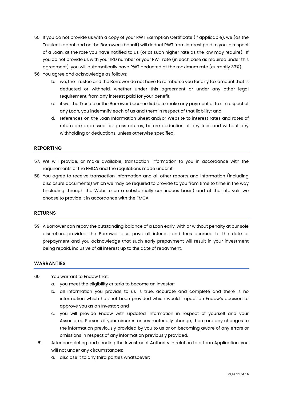- 55. If you do not provide us with a copy of your RWT Exemption Certificate (if applicable), we (as the Trustee's agent and on the Borrower's behalf) will deduct RWT from interest paid to you in respect of a Loan, at the rate you have notified to us (or at such higher rate as the law may require). If you do not provide us with your IRD number or your RWT rate (in each case as required under this agreement), you will automatically have RWT deducted at the maximum rate (currently 33%).
- 56. You agree and acknowledge as follows:
	- b. we, the Trustee and the Borrower do not have to reimburse you for any tax amount that is deducted or withheld, whether under this agreement or under any other legal requirement, from any interest paid for your benefit;
	- c. if we, the Trustee or the Borrower become liable to make any payment of tax in respect of any Loan, you indemnify each of us and them in respect of that liability; and
	- d. references on the Loan Information Sheet and/or Website to interest rates and rates of return are expressed as gross returns, before deduction of any fees and without any withholding or deductions, unless otherwise specified.

## REPORTING

- 57. We will provide, or make available, transaction information to you in accordance with the requirements of the FMCA and the regulations made under it.
- 58. You agree to receive transaction information and all other reports and information (including disclosure documents) which we may be required to provide to you from time to time in the way (including through the Website on a substantially continuous basis) and at the intervals we choose to provide it in accordance with the FMCA.

#### RETURNS

59. A Borrower can repay the outstanding balance of a Loan early, with or without penalty at our sole discretion, provided the Borrower also pays all interest and fees accrued to the date of prepayment and you acknowledge that such early prepayment will result in your investment being repaid, inclusive of all interest up to the date of repayment.

#### WARRANTIES

- 60. You warrant to Endow that:
	- a. you meet the eligibility criteria to become an Investor;
	- b. all information you provide to us is true, accurate and complete and there is no information which has not been provided which would impact on Endow's decision to approve you as an Investor; and
	- c. you will provide Endow with updated information in respect of yourself and your Associated Persons if your circumstances materially change, there are any changes to the information previously provided by you to us or on becoming aware of any errors or omissions in respect of any information previously provided.
	- 61. After completing and sending the Investment Authority in relation to a Loan Application, you will not under any circumstances:
		- a. disclose it to any third parties whatsoever;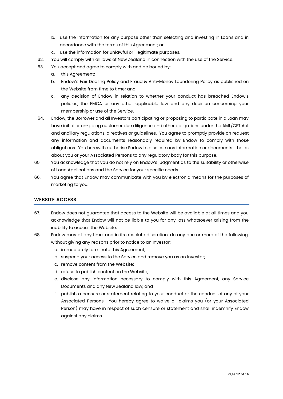- b. use the Information for any purpose other than selecting and investing in Loans and in accordance with the terms of this Agreement; or
- c. use the information for unlawful or illegitimate purposes.
- 62. You will comply with all laws of New Zealand in connection with the use of the Service.
- 63. You accept and agree to comply with and be bound by:
	- a. this Agreement;
	- b. Endow's Fair Dealing Policy and Fraud & Anti-Money Laundering Policy as published on the Website from time to time; and
	- c. any decision of Endow in relation to whether your conduct has breached Endow's policies, the FMCA or any other applicable law and any decision concerning your membership or use of the Service.
- 64. Endow, the Borrower and all Investors participating or proposing to participate in a Loan may have initial or on-going customer due diligence and other obligations under the AML/CFT Act and ancillary regulations, directives or guidelines. You agree to promptly provide on request any information and documents reasonably required by Endow to comply with those obligations. You herewith authorise Endow to disclose any information or documents it holds about you or your Associated Persons to any regulatory body for this purpose.
- 65. You acknowledge that you do not rely on Endow's judgment as to the suitability or otherwise of Loan Applications and the Service for your specific needs.
- 66. You agree that Endow may communicate with you by electronic means for the purposes of marketing to you.

## WEBSITE ACCESS

- 67. Endow does not guarantee that access to the Website will be available at all times and you acknowledge that Endow will not be liable to you for any loss whatsoever arising from the inability to access the Website.
- 68. Endow may at any time, and in its absolute discretion, do any one or more of the following, without giving any reasons prior to notice to an Investor:
	- a. immediately terminate this Agreement;
	- b. suspend your access to the Service and remove you as an Investor;
	- c. remove content from the Website;
	- d. refuse to publish content on the Website;
	- e. disclose any information necessary to comply with this Agreement, any Service Documents and any New Zealand law; and
	- f. publish a censure or statement relating to your conduct or the conduct of any of your Associated Persons. You hereby agree to waive all claims you (or your Associated Person) may have in respect of such censure or statement and shall indemnify Endow against any claims.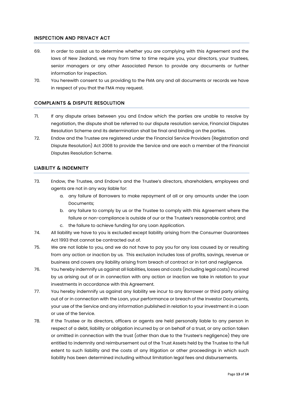## INSPECTION AND PRIVACY ACT

- 69. In order to assist us to determine whether you are complying with this Agreement and the laws of New Zealand, we may from time to time require you, your directors, your trustees, senior managers or any other Associated Person to provide any documents or further information for inspection.
- 70. You herewith consent to us providing to the FMA any and all documents or records we have in respect of you that the FMA may request.

# COMPLAINTS & DISPUTE RESOLUTION

- 71. If any dispute arises between you and Endow which the parties are unable to resolve by negotiation, the dispute shall be referred to our dispute resolution service, Financial Disputes Resolution Scheme and its determination shall be final and binding on the parties.
- 72. Endow and the Trustee are registered under the Financial Service Providers (Registration and Dispute Resolution) Act 2008 to provide the Service and are each a member of the Financial Disputes Resolution Scheme.

## LIABILITY & INDEMNITY

- 73. Endow, the Trustee, and Endow's and the Trustee's directors, shareholders, employees and agents are not in any way liable for:
	- a. any failure of Borrowers to make repayment of all or any amounts under the Loan Documents;
	- b. any failure to comply by us or the Trustee to comply with this Agreement where the failure or non-compliance is outside of our or the Trustee's reasonable control; and
	- c. the failure to achieve funding for any Loan Application.
- 74. All liability we have to you is excluded except liability arising from the Consumer Guarantees Act 1993 that cannot be contracted out of.
- 75. We are not liable to you, and we do not have to pay you for any loss caused by or resulting from any action or inaction by us. This exclusion includes loss of profits, savings, revenue or business and covers any liability arising from breach of contract or in tort and negligence.
- 76. You hereby indemnify us against all liabilities, losses and costs (including legal costs) incurred by us arising out of or in connection with any action or inaction we take in relation to your investments in accordance with this Agreement.
- 77. You hereby indemnify us against any liability we incur to any Borrower or third party arising out of or in connection with the Loan, your performance or breach of the Investor Documents, your use of the Service and any information published in relation to your investment in a Loan or use of the Service.
- 78. If the Trustee or its directors, officers or agents are held personally liable to any person in respect of a debt, liability or obligation incurred by or on behalf of a trust, or any action taken or omitted in connection with the trust (other than due to the Trustee's negligence) they are entitled to indemnity and reimbursement out of the Trust Assets held by the Trustee to the full extent to such liability and the costs of any litigation or other proceedings in which such liability has been determined including without limitation legal fees and disbursements.